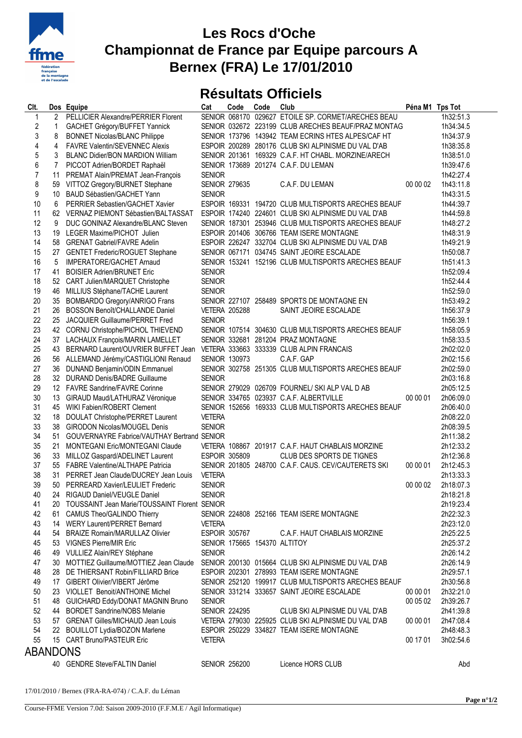

## **Les Rocs d'Oche Championnat de France par Equipe parcours A Bernex (FRA) Le 17/01/2010**

## **Résultats Officiels**

| Clt.             |                | Dos Equipe                                       | Cat                  | Code | Code | Club                                                | Péna M1 Tps Tot |           |
|------------------|----------------|--------------------------------------------------|----------------------|------|------|-----------------------------------------------------|-----------------|-----------|
| $\mathbf{1}$     | $\overline{2}$ | PELLICIER Alexandre/PERRIER Florent              |                      |      |      | SENIOR 068170 029627 ETOILE SP. CORMET/ARECHES BEAU |                 | 1h32:51.3 |
| $\boldsymbol{2}$ | 1              | GACHET Grégory/BUFFET Yannick                    |                      |      |      | SENIOR 032672 223199 CLUB ARECHES BEAUF/PRAZ MONTAG |                 | 1h34:34.5 |
| 3                | 8              | <b>BONNET Nicolas/BLANC Philippe</b>             |                      |      |      | SENIOR 173796 143942 TEAM ECRINS HTES ALPES/CAF HT  |                 | 1h34:37.9 |
| 4                | 4              | <b>FAVRE Valentin/SEVENNEC Alexis</b>            |                      |      |      | ESPOIR 200289 280176 CLUB SKI ALPINISME DU VAL D'AB |                 | 1h38:35.8 |
| 5                | 3              | <b>BLANC Didier/BON MARDION William</b>          |                      |      |      | SENIOR 201361 169329 C.A.F. HT CHABL. MORZINE/ARECH |                 | 1h38:51.0 |
| 6                | 7              | PICCOT Adrien/BORDET Raphaël                     |                      |      |      | SENIOR 173689 201274 C.A.F. DU LEMAN                |                 | 1h39:47.6 |
| $\overline{7}$   | 11             | PREMAT Alain/PREMAT Jean-François                | <b>SENIOR</b>        |      |      |                                                     |                 | 1h42:27.4 |
| 8                |                | 59 VITTOZ Gregory/BURNET Stephane                | <b>SENIOR 279635</b> |      |      | C.A.F. DU LEMAN                                     | 00 00 02        | 1h43:11.8 |
| 9                |                | 10 BAUD Sébastien/GACHET Yann                    | <b>SENIOR</b>        |      |      |                                                     |                 | 1h43:31.5 |
| 10               | 6              | PERRIER Sebastien/GACHET Xavier                  |                      |      |      | ESPOIR 169331 194720 CLUB MULTISPORTS ARECHES BEAUF |                 | 1h44:39.7 |
| 11               |                | 62 VERNAZ PIEMONT Sébastien/BALTASSAT            |                      |      |      | ESPOIR 174240 224601 CLUB SKI ALPINISME DU VAL D'AB |                 | 1h44:59.8 |
| 12               | 9              | DUC GONINAZ Alexandre/BLANC Steven               |                      |      |      | SENIOR 187301 253946 CLUB MULTISPORTS ARECHES BEAUF |                 | 1h48:27.2 |
| 13               |                | 19 LEGER Maxime/PICHOT Julien                    |                      |      |      | ESPOIR 201406 306766 TEAM ISERE MONTAGNE            |                 | 1h48:31.9 |
| 14               |                | 58 GRENAT Gabriel/FAVRE Adelin                   |                      |      |      | ESPOIR 226247 332704 CLUB SKI ALPINISME DU VAL D'AB |                 | 1h49:21.9 |
| 15               |                | 27 GENTET Frederic/ROGUET Stephane               |                      |      |      | SENIOR 067171 034745 SAINT JEOIRE ESCALADE          |                 | 1h50:08.7 |
| 16               | 5              | IMPERATORE/GACHET Arnaud                         |                      |      |      | SENIOR 153241 152196 CLUB MULTISPORTS ARECHES BEAUF |                 | 1h51:41.3 |
| 17               | 41             | <b>BOISIER Adrien/BRUNET Eric</b>                | <b>SENIOR</b>        |      |      |                                                     |                 | 1h52:09.4 |
| 18               |                | 52 CART Julien/MARQUET Christophe                | <b>SENIOR</b>        |      |      |                                                     |                 | 1h52:44.4 |
| 19               | 46             | MILLIUS Stéphane/TACHE Laurent                   | <b>SENIOR</b>        |      |      |                                                     |                 | 1h52:59.0 |
| 20               | 35             | <b>BOMBARDO Gregory/ANRIGO Frans</b>             |                      |      |      | SENIOR 227107 258489 SPORTS DE MONTAGNE EN          |                 | 1h53:49.2 |
| 21               | 26             | BOSSON Benoît/CHALLANDE Daniel                   | <b>VETERA 205288</b> |      |      | SAINT JEOIRE ESCALADE                               |                 | 1h56:37.9 |
| 22               |                | 25 JACQUIER Guillaume/PERRET Fred                | <b>SENIOR</b>        |      |      |                                                     |                 | 1h56:39.1 |
| 23               |                | 42 CORNU Christophe/PICHOL THIEVEND              |                      |      |      | SENIOR 107514 304630 CLUB MULTISPORTS ARECHES BEAUF |                 | 1h58:05.9 |
| 24               |                | 37 LACHAUX François/MARIN LAMELLET               |                      |      |      | SENIOR 332681 281204 PRAZ MONTAGNE                  |                 | 1h58:33.5 |
| 25               |                | 43 BERNARD Laurent/OUVRIER BUFFET Jean           |                      |      |      | VETERA 333663 333339 CLUB ALPIN FRANCAIS            |                 | 2h02:02.0 |
| 26               |                | 56 ALLEMAND Jérémy/CASTIGLIONI Renaud            | <b>SENIOR 130973</b> |      |      | C.A.F. GAP                                          |                 | 2h02:15.6 |
| 27               |                | 36 DUNAND Benjamin/ODIN Emmanuel                 |                      |      |      | SENIOR 302758 251305 CLUB MULTISPORTS ARECHES BEAUF |                 | 2h02:59.0 |
| 28               |                | 32 DURAND Denis/BADRE Guillaume                  | <b>SENIOR</b>        |      |      |                                                     |                 | 2h03:16.8 |
| 29               |                | 12 FAVRE Sandrine/FAVRE Corinne                  |                      |      |      | SENIOR 279029 026709 FOURNEL/ SKI ALP VAL D AB      |                 | 2h05:12.5 |
| 30               | 13             | GIRAUD Maud/LATHURAZ Véronique                   |                      |      |      | SENIOR 334765 023937 C.A.F. ALBERTVILLE             | 00 00 01        | 2h06:09.0 |
| 31               | 45             | WIKI Fabien/ROBERT Clement                       |                      |      |      | SENIOR 152656 169333 CLUB MULTISPORTS ARECHES BEAUF |                 | 2h06:40.0 |
| 32               | 18             | DOULAT Christophe/PERRET Laurent                 | <b>VETERA</b>        |      |      |                                                     |                 | 2h08:22.0 |
| 33               | 38             | <b>GIRODON Nicolas/MOUGEL Denis</b>              | <b>SENIOR</b>        |      |      |                                                     |                 | 2h08:39.5 |
| 34               | 51             | GOUVERNAYRE Fabrice/VAUTHAY Bertrand SENIOR      |                      |      |      |                                                     |                 | 2h11:38.2 |
| 35               | 21             | <b>MONTEGANI Eric/MONTEGANI Claude</b>           |                      |      |      | VETERA 108867 201917 C.A.F. HAUT CHABLAIS MORZINE   |                 | 2h12:33.2 |
| 36               | 33             | MILLOZ Gaspard/ADELINET Laurent                  | ESPOIR 305809        |      |      | CLUB DES SPORTS DE TIGNES                           |                 | 2h12:36.8 |
| 37               |                | 55 FABRE Valentine/ALTHAPE Patricia              |                      |      |      | SENIOR 201805 248700 C.A.F. CAUS. CEV/CAUTERETS SKI | 00 00 01        | 2h12:45.3 |
| 38               | 31             | PERRET Jean Claude/DUCREY Jean Louis             | <b>VETERA</b>        |      |      |                                                     |                 | 2h13:33.3 |
| 39               |                | 50 PERREARD Xavier/LEULIET Frederic              | <b>SENIOR</b>        |      |      |                                                     | 00 00 02        | 2h18:07.3 |
| 40               |                | 24 RIGAUD Daniel/VEUGLE Daniel                   | <b>SENIOR</b>        |      |      |                                                     |                 | 2h18:21.8 |
| 41               |                | 20 TOUSSAINT Jean Marie/TOUSSAINT Florent SENIOR |                      |      |      |                                                     |                 | 2h19:23.4 |
| 42               |                | 61 CAMUS Theo/GALINDO Thierry                    |                      |      |      | SENIOR 224808 252166 TEAM ISERE MONTAGNE            |                 | 2h22:32.3 |
| 43               |                | 14 WERY Laurent/PERRET Bernard                   | <b>VETERA</b>        |      |      |                                                     |                 | 2h23:12.0 |
| 44               |                | 54 BRAIZE Romain/MARULLAZ Olivier                | <b>ESPOIR 305767</b> |      |      | C.A.F. HAUT CHABLAIS MORZINE                        |                 | 2h25:22.5 |
| 45               |                | 53 VIGNES Pierre/MIR Eric                        |                      |      |      | SENIOR 175665 154370 ALTITOY                        |                 | 2h25:37.2 |
| 46               |                | 49 VULLIEZ Alain/REY Stéphane                    | <b>SENIOR</b>        |      |      |                                                     |                 | 2h26:14.2 |
| 47               |                | 30 MOTTIEZ Guillaume/MOTTIEZ Jean Claude         |                      |      |      | SENIOR 200130 015664 CLUB SKI ALPINISME DU VAL D'AB |                 | 2h26:14.9 |
| 48               |                | 28 DE THIERSANT Robin/FILLIARD Brice             |                      |      |      | ESPOIR 202301 278993 TEAM ISERE MONTAGNE            |                 | 2h29:57.1 |
| 49               |                | 17 GIBERT Olivier/VIBERT Jérôme                  |                      |      |      | SENIOR 252120 199917 CLUB MULTISPORTS ARECHES BEAUF |                 | 2h30:56.8 |
| 50               |                | 23 VIOLLET Benoit/ANTHOINE Michel                |                      |      |      | SENIOR 331214 333657 SAINT JEOIRE ESCALADE          | 00 00 01        | 2h32:21.0 |
| 51               |                | 48 GUICHARD Eddy/DONAT MAGNIN Bruno              | <b>SENIOR</b>        |      |      |                                                     | 00 05 02        | 2h39:26.7 |
| 52               |                | 44 BORDET Sandrine/NOBS Melanie                  | <b>SENIOR 224295</b> |      |      | CLUB SKI ALPINISME DU VAL D'AB                      |                 | 2h41:39.8 |
| 53               |                | 57 GRENAT Gilles/MICHAUD Jean Louis              |                      |      |      | VETERA 279030 225925 CLUB SKI ALPINISME DU VAL D'AB | 00 00 01        | 2h47:08.4 |
| 54               |                | 22 BOUILLOT Lydia/BOZON Marlene                  |                      |      |      | ESPOIR 250229 334827 TEAM ISERE MONTAGNE            |                 | 2h48:48.3 |
| 55               |                | 15 CART Bruno/PASTEUR Eric                       | <b>VETERA</b>        |      |      |                                                     | 00 17 01        | 3h02:54.6 |
| ABANDONS         |                |                                                  |                      |      |      |                                                     |                 |           |
|                  |                | 40 GENDRE Steve/FALTIN Daniel                    | <b>SENIOR 256200</b> |      |      | Licence HORS CLUB                                   |                 | Abd       |
|                  |                |                                                  |                      |      |      |                                                     |                 |           |

17/01/2010 / Bernex (FRA-RA-074) / C.A.F. du Léman